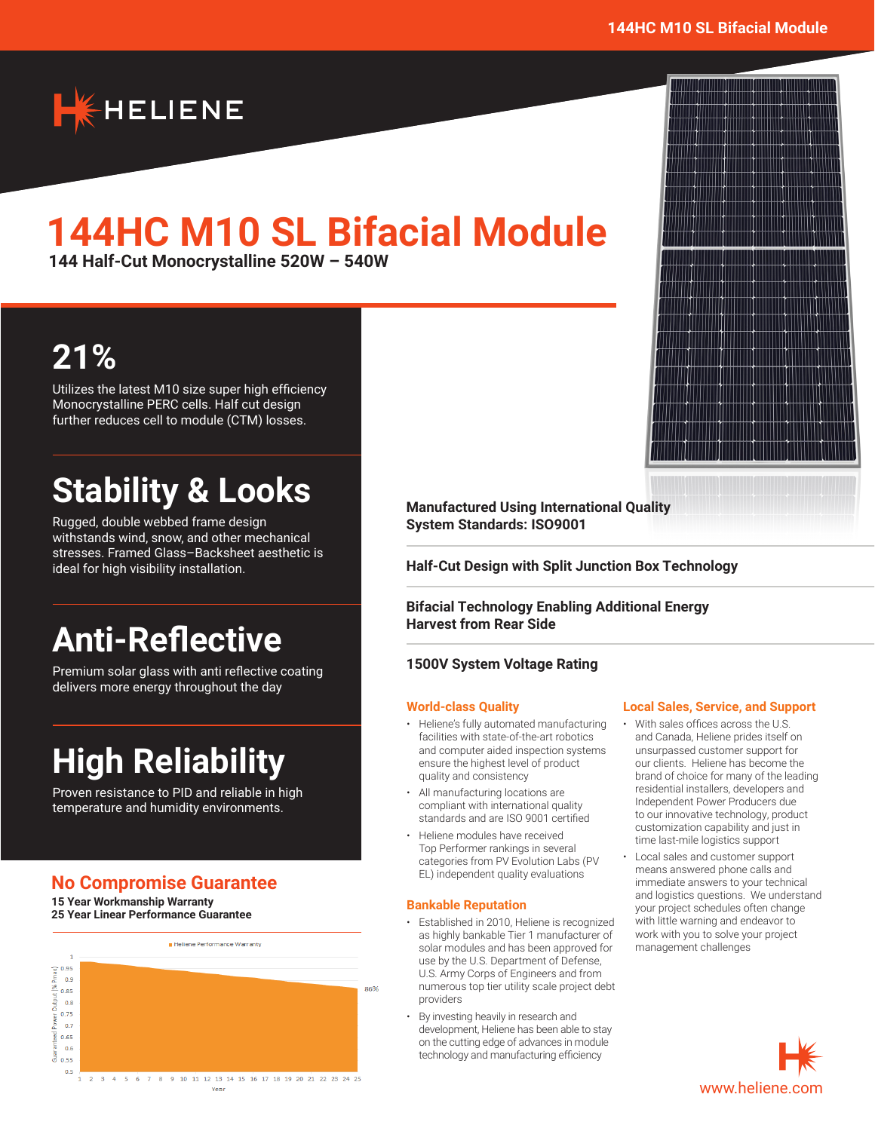W



# **144HC M10 SL Bifacial Module**

**144 Half-Cut Monocrystalline 520W – 540W**

# **21%**

Utilizes the latest M10 size super high efficiency Monocrystalline PERC cells. Half cut design further reduces cell to module (CTM) losses.

# **Stability & Looks**

Rugged, double webbed frame design withstands wind, snow, and other mechanical stresses. Framed Glass–Backsheet aesthetic is ideal for high visibility installation.

# **Anti-Reflective**

Premium solar glass with anti reflective coating delivers more energy throughout the day

# **High Reliability**

Proven resistance to PID and reliable in high temperature and humidity environments.

# **No Compromise Guarantee**

**15 Year Workmanship Warranty 25 Year Linear Performance Guarantee**



**Manufactured Using International Quality System Standards: ISO9001**

**Half-Cut Design with Split Junction Box Technology**

**Bifacial Technology Enabling Additional Energy Harvest from Rear Side**

### **1500V System Voltage Rating**

#### **World-class Quality**

- Heliene's fully automated manufacturing facilities with state-of-the-art robotics and computer aided inspection systems ensure the highest level of product quality and consistency
- All manufacturing locations are compliant with international quality standards and are ISO 9001 certified
- Heliene modules have received Top Performer rankings in several categories from PV Evolution Labs (PV EL) independent quality evaluations

#### **Bankable Reputation**

- Established in 2010, Heliene is recognized as highly bankable Tier 1 manufacturer of solar modules and has been approved for use by the U.S. Department of Defense, U.S. Army Corps of Engineers and from numerous top tier utility scale project debt providers
- By investing heavily in research and development, Heliene has been able to stay on the cutting edge of advances in module technology and manufacturing efficiency

#### **Local Sales, Service, and Support**

- With sales offices across the U.S. and Canada, Heliene prides itself on unsurpassed customer support for our clients. Heliene has become the brand of choice for many of the leading residential installers, developers and Independent Power Producers due to our innovative technology, product customization capability and just in time last-mile logistics support
- Local sales and customer support means answered phone calls and immediate answers to your technical and logistics questions. We understand your project schedules often change with little warning and endeavor to work with you to solve your project management challenges